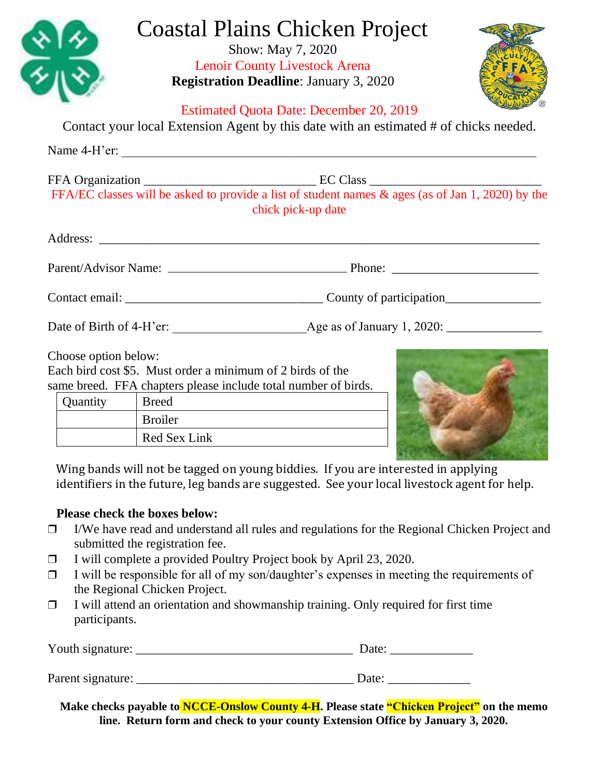

# Coastal Plains Chicken Project

Show: May 7, 2020 Lenoir County Livestock Arena **Registration Deadline**: January 3, 2020



## Estimated Quota Date: December 20, 2019

Contact your local Extension Agent by this date with an estimated # of chicks needed.

| FFA/EC classes will be asked to provide a list of student names $\&$ ages (as of Jan 1, 2020) by the<br>chick pick-up date |
|----------------------------------------------------------------------------------------------------------------------------|
|                                                                                                                            |
| Parent/Advisor Name: Phone: Phone:                                                                                         |
| Contact email: Contact email: County of participation                                                                      |
| Date of Birth of 4-H'er: Age as of January 1, 2020:                                                                        |

Choose option below:

Each bird cost \$5. Must order a minimum of 2 birds of the same breed. FFA chapters please include total number of birds.

| Quantity | <b>Breed</b>   |
|----------|----------------|
|          | <b>Broiler</b> |
|          | Red Sex Link   |



Wing bands will not be tagged on young biddies. If you are interested in applying identifiers in the future, leg bands are suggested. See your local livestock agent for help.

# **Please check the boxes below:**

- ❒ I/We have read and understand all rules and regulations for the Regional Chicken Project and submitted the registration fee.
- ❒ I will complete a provided Poultry Project book by April 23, 2020.
- ❒ I will be responsible for all of my son/daughter's expenses in meeting the requirements of the Regional Chicken Project.
- ❒ I will attend an orientation and showmanship training. Only required for first time participants.

| Youth signature:  | Date: |
|-------------------|-------|
|                   |       |
| Parent signature: | Date: |

**Make checks payable to NCCE-Onslow County 4-H. Please state "Chicken Project" on the memo line. Return form and check to your county Extension Office by January 3, 2020.**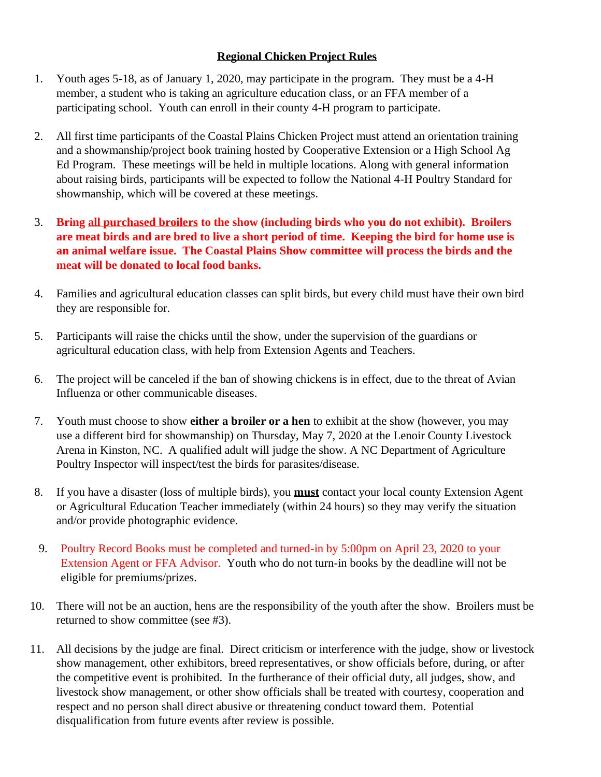#### **Regional Chicken Project Rules**

- 1. Youth ages 5-18, as of January 1, 2020, may participate in the program. They must be a 4-H member, a student who is taking an agriculture education class, or an FFA member of a participating school. Youth can enroll in their county 4-H program to participate.
- 2. All first time participants of the Coastal Plains Chicken Project must attend an orientation training and a showmanship/project book training hosted by Cooperative Extension or a High School Ag Ed Program. These meetings will be held in multiple locations. Along with general information about raising birds, participants will be expected to follow the National 4-H Poultry Standard for showmanship, which will be covered at these meetings.
- 3. **Bring all purchased broilers to the show (including birds who you do not exhibit). Broilers are meat birds and are bred to live a short period of time. Keeping the bird for home use is an animal welfare issue. The Coastal Plains Show committee will process the birds and the meat will be donated to local food banks.**
- 4. Families and agricultural education classes can split birds, but every child must have their own bird they are responsible for.
- 5. Participants will raise the chicks until the show, under the supervision of the guardians or agricultural education class, with help from Extension Agents and Teachers.
- 6. The project will be canceled if the ban of showing chickens is in effect, due to the threat of Avian Influenza or other communicable diseases.
- 7. Youth must choose to show **either a broiler or a hen** to exhibit at the show (however, you may use a different bird for showmanship) on Thursday, May 7, 2020 at the Lenoir County Livestock Arena in Kinston, NC. A qualified adult will judge the show. A NC Department of Agriculture Poultry Inspector will inspect/test the birds for parasites/disease.
- 8. If you have a disaster (loss of multiple birds), you **must** contact your local county Extension Agent or Agricultural Education Teacher immediately (within 24 hours) so they may verify the situation and/or provide photographic evidence.
- 9. Poultry Record Books must be completed and turned-in by 5:00pm on April 23, 2020 to your Extension Agent or FFA Advisor.Youth who do not turn-in books by the deadline will not be eligible for premiums/prizes.
- 10. There will not be an auction, hens are the responsibility of the youth after the show. Broilers must be returned to show committee (see #3).
- 11. All decisions by the judge are final. Direct criticism or interference with the judge, show or livestock show management, other exhibitors, breed representatives, or show officials before, during, or after the competitive event is prohibited. In the furtherance of their official duty, all judges, show, and livestock show management, or other show officials shall be treated with courtesy, cooperation and respect and no person shall direct abusive or threatening conduct toward them. Potential disqualification from future events after review is possible.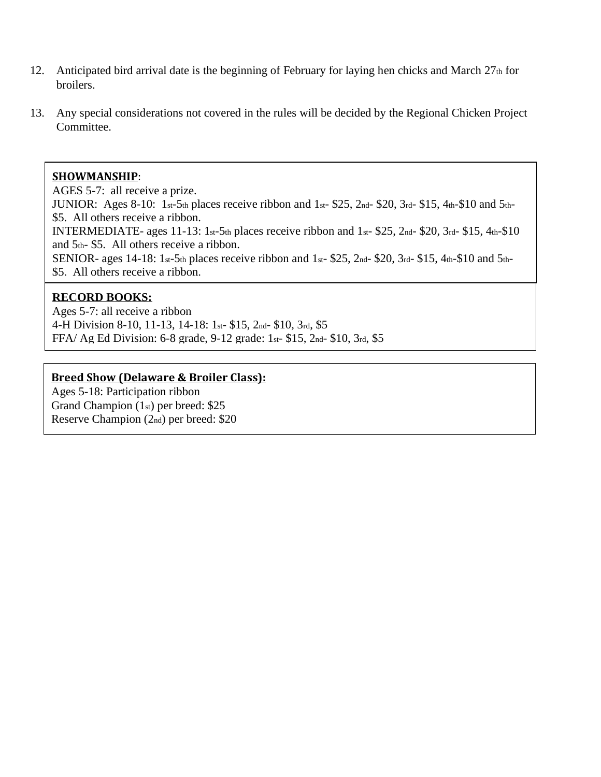- 12. Anticipated bird arrival date is the beginning of February for laying hen chicks and March 27th for broilers.
- 13. Any special considerations not covered in the rules will be decided by the Regional Chicken Project Committee.

#### **SHOWMANSHIP**:

AGES 5-7: all receive a prize. JUNIOR: Ages 8-10: 1st-5th places receive ribbon and 1st- \$25, 2nd- \$20, 3rd- \$15, 4th-\$10 and 5th- \$5. All others receive a ribbon. INTERMEDIATE- ages 11-13: 1st-5th places receive ribbon and 1st- \$25, 2nd- \$20, 3rd- \$15, 4th-\$10 and 5th- \$5. All others receive a ribbon. SENIOR- ages 14-18: 1st-5th places receive ribbon and 1st-  $$25$ , 2nd- $$20$ , 3rd- $$15$ , 4th- $$10$  and 5th-\$5. All others receive a ribbon.

#### **RECORD BOOKS:**

Ages 5-7: all receive a ribbon 4-H Division 8-10, 11-13, 14-18: 1st- \$15, 2nd- \$10, 3rd, \$5 FFA/ Ag Ed Division: 6-8 grade, 9-12 grade: 1st- \$15, 2nd- \$10, 3rd, \$5

#### **Breed Show (Delaware & Broiler Class):**

Ages 5-18: Participation ribbon Grand Champion (1st) per breed: \$25 Reserve Champion (2nd) per breed: \$20